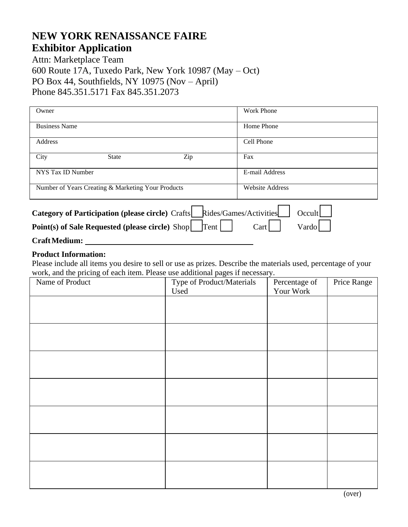# **NEW YORK RENAISSANCE FAIRE Exhibitor Application**

Attn: Marketplace Team 600 Route 17A, Tuxedo Park, New York 10987 (May – Oct) PO Box 44, Southfields, NY 10975 (Nov – April) Phone 845.351.5171 Fax 845.351.2073

| Owner                                                                                                                                                           |                                                    |     | <b>Work Phone</b>      |  |  |  |
|-----------------------------------------------------------------------------------------------------------------------------------------------------------------|----------------------------------------------------|-----|------------------------|--|--|--|
| <b>Business Name</b>                                                                                                                                            |                                                    |     | Home Phone             |  |  |  |
| Address                                                                                                                                                         |                                                    |     | Cell Phone             |  |  |  |
| City                                                                                                                                                            | <b>State</b>                                       | Zip | Fax                    |  |  |  |
| NYS Tax ID Number                                                                                                                                               |                                                    |     | E-mail Address         |  |  |  |
|                                                                                                                                                                 | Number of Years Creating & Marketing Your Products |     | <b>Website Address</b> |  |  |  |
| Category of Participation (please circle) Crafts   Rides/Games/Activities<br>Occult<br>Point(s) of Sale Requested (please circle) Shop<br>Tent<br>Vardo<br>Cart |                                                    |     |                        |  |  |  |

## **CraftMedium:**

#### **Product Information:**

Please include all items you desire to sell or use as prizes. Describe the materials used, percentage of your work, and the pricing of each item. Please use additional pages if necessary.

| Name of Product | Type of Product/Materials | Percentage of | Price Range |
|-----------------|---------------------------|---------------|-------------|
|                 | Used                      | Your Work     |             |
|                 |                           |               |             |
|                 |                           |               |             |
|                 |                           |               |             |
|                 |                           |               |             |
|                 |                           |               |             |
|                 |                           |               |             |
|                 |                           |               |             |
|                 |                           |               |             |
|                 |                           |               |             |
|                 |                           |               |             |
|                 |                           |               |             |
|                 |                           |               |             |
|                 |                           |               |             |
|                 |                           |               |             |
|                 |                           |               |             |